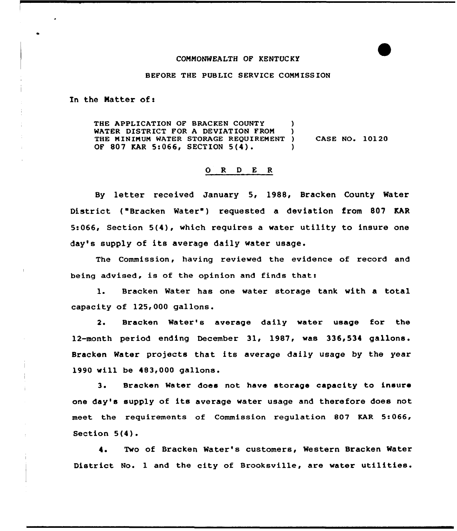## CONNONWEALTH OF KENTUC KY

## BEFORE THE PUBLIC SERVICE CONNISSION

In the Natter of <sup>s</sup>

THE APPLICATION OF BRACKEN COUNTY (1997)<br>WATER DISTRICT FOR A DEVIATION FROM (1997) WATER DISTRICT FOR A DEVIATION FROM THE NININUM WATER STORAGE REQUIREMENT ) OF 807 KAR 5:066, SECTION 5(4). CASE NO. 10120

## 0 R <sup>D</sup> E <sup>R</sup>

By letter received January 5, 1988, Bracken County Water District ("Bracken Water") requested a deviation from 807 KAR 5:066, Section 5(4), which requires a water utility to insure one day's supply of its average daily water usage.

The Commission, having reviewed the evidence of record and being advised, is of the opinion and finds that:

l. Bracken Water has one water storage tank with <sup>a</sup> total capacity of 125,000 gallons.

2. Bracken Mater's average daily water usage for the 12-month period ending December 31, 1987, was 336,534 gallons. Bracken Water projects that its average daily usage by the year 1990 will be 483,000 gallons.

3. Bracken Water does not have storage capacity to insure one day's supply of its average water usage and therefore does not meet the requirements of Commission regulation 807 KAR 5:066, Section  $5(4)$ .

4. Two of Bracken Water's customers, Western Bracken Water District No. <sup>1</sup> and the city of Brooksville, are water utilities.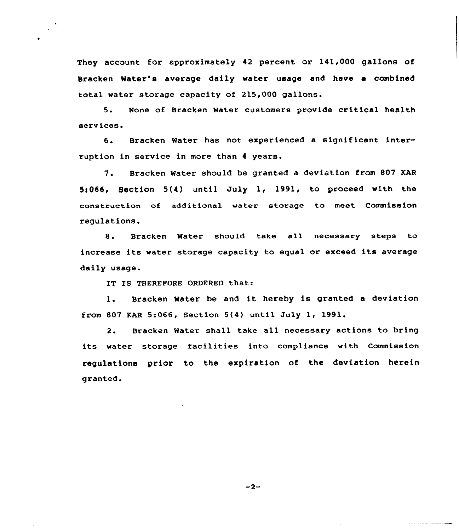They account for approximately 42 percent or 141,000 gallons of Bracken Water's average daily water usage and have a combined total water storage capacity of 215,000 gallons.

5. None of Bracken Water customers provide critical health services.

6. Bracken Water has not experienced <sup>a</sup> significant interruption in service in more than 4 years.

7. Bracken Mater should be granted <sup>a</sup> deviation from 807 KAR  $5:066$ , Section  $5(4)$  until July 1, 1991, to proceed with the construction of additional water storage to meet Commission regulations.

8. Bracken Water should take all necessary steps to increase its water storage capacity to equal or exceed its average daily usage.

IT IS THEREFORE ORDERED that:

1. Bracken Water be and it hereby is granted <sup>a</sup> deviation from 807 KAR 5:066, Section 5(4) until July 1, 1991.

2. Bracken Mater shall take all necessary actions to bring its water storage facilities into compliance with Commission regulations prior to the expiration of the deviation herein granted.

 $-2-$ 

سواست والمتعادية